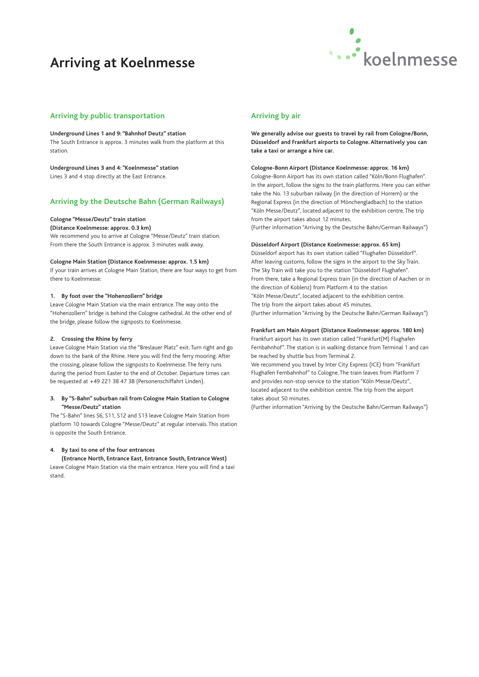## **Arriving at Koelnmesse**



## **Arriving by public transportation**

#### **Underground Lines 1 and 9: "Bahnhof Deutz" station**

The South Entrance is approx. 3 minutes walk from the platform at this station.

#### **Underground Lines 3 and 4: "Koelnmesse" station**

Lines 3 and 4 stop directly at the East Entrance.

## **Arriving by the Deutsche Bahn (German Railways)**

#### **Cologne "Messe/Deutz" train station**

#### **(Distance Koelnmesse: approx. 0.3 km)**

We recommend you to arrive at Cologne "Messe/Deutz" train station. From there the South Entrance is approx. 3 minutes walk away.

#### **Cologne Main Station (Distance Koelnmesse: approx. 1.5 km)**

If your train arrives at Cologne Main Station, there are four ways to get from there to Koelnmesse:

#### **1. By foot over the "Hohenzollern" bridge**

Leave Cologne Main Station via the main entrance. The way onto the "Hohenzollern" bridge is behind the Cologne cathedral. At the other end of the bridge, please follow the signposts to Koelnmesse.

#### **2. Crossing the Rhine by ferry**

Leave Cologne Main Station via the "Breslauer Platz" exit. Turn right and go down to the bank of the Rhine. Here you will find the ferry mooring. After the crossing, please follow the signposts to Koelnmesse. The ferry runs during the period from Easter to the end of October. Departure times can be requested at +49 221 38 47 38 (Personenschiffahrt Linden).

#### **3. By "S-Bahn" suburban rail from Cologne Main Station to Cologne "Messe/Deutz" station**

The "S-Bahn" lines S6, S11, S12 and S13 leave Cologne Main Station from platform 10 towards Cologne "Messe/Deutz" at regular intervals. This station is opposite the South Entrance.

#### **4. By taxi to one of the four entrances**

**(Entrance North, Entrance East, Entrance South, Entrance West)**  Leave Cologne Main Station via the main entrance. Here you will find a taxi stand.

## **Arriving by air**

**We generally advise our guests to travel by rail from Cologne/Bonn, Düsseldorf and Frankfurt airports to Cologne. Alternatively you can take a taxi or arrange a hire car.**

#### **Cologne-Bonn Airport (Distance Koelnmesse: approx. 16 km)**

Cologne-Bonn Airport has its own station called "Köln/Bonn Flughafen". In the airport, follow the signs to the train platforms. Here you can either take the No. 13 suburban railway (in the direction of Horrem) or the Regional Express (in the direction of Mönchengladbach) to the station "Köln Messe/Deutz", located adjacent to the exhibition centre. The trip from the airport takes about 12 minutes. (Further information "Arriving by the Deutsche Bahn/German Railways")

### **Düsseldorf Airport (Distance Koelnmesse: approx. 65 km)**

Düsseldorf airport has its own station called "Flughafen Düsseldorf". After leaving customs, follow the signs in the airport to the Sky Train. The Sky Train will take you to the station "Düsseldorf Flughafen". From there, take a Regional Express train (in the direction of Aachen or in the direction of Koblenz) from Platform 4 to the station "Köln Messe/Deutz", located adjacent to the exhibition centre. The trip from the airport takes about 45 minutes. (Further information "Arriving by the Deutsche Bahn/German Railways")

#### **Frankfurt am Main Airport (Distance Koelnmesse: approx. 180 km)**

Frankfurt airport has its own station called "Frankfurt(M) Flughafen Fernbahnhof". The station is in walking distance from Terminal 1 and can be reached by shuttle bus from Terminal 2.

We recommend you travel by Inter City Express (ICE) from "Frankfurt Flughafen Fernbahnhof" to Cologne. The train leaves from Platform 7 and provides non-stop service to the station "Köln Messe/Deutz", located adjacent to the exhibition centre. The trip from the airport takes about 50 minutes.

(Further information "Arriving by the Deutsche Bahn/German Railways")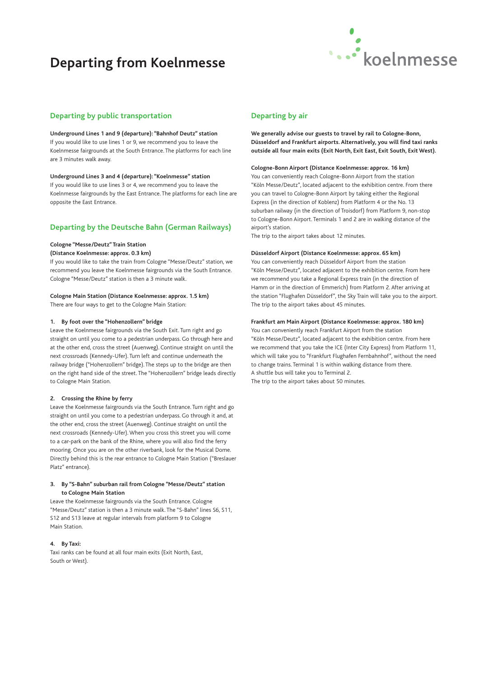## **Departing from Koelnmesse**



## **Departing by public transportation**

#### **Underground Lines 1 and 9 (departure): "Bahnhof Deutz" station**

If you would like to use lines 1 or 9, we recommend you to leave the Koelnmesse fairgrounds at the South Entrance. The platforms for each line are 3 minutes walk away.

#### **Underground Lines 3 and 4 (departure): "Koelnmesse" station**

If you would like to use lines 3 or 4, we recommend you to leave the Koelnmesse fairgrounds by the East Entrance. The platforms for each line are opposite the East Entrance.

## **Departing by the Deutsche Bahn (German Railways)**

## **Cologne "Messe/Deutz" Train Station**

## **(Distance Koelnmesse: approx. 0.3 km)**

If you would like to take the train from Cologne "Messe/Deutz" station, we recommend you leave the Koelnmesse fairgrounds via the South Entrance. Cologne "Messe/Deutz" station is then a 3 minute walk.

### **Cologne Main Station (Distance Koelnmesse: approx. 1.5 km)**

There are four ways to get to the Cologne Main Station:

#### **1. By foot over the "Hohenzollern" bridge**

Leave the Koelnmesse fairgrounds via the South Exit. Turn right and go straight on until you come to a pedestrian underpass. Go through here and at the other end, cross the street (Auenweg). Continue straight on until the next crossroads (Kennedy-Ufer). Turn left and continue underneath the railway bridge ("Hohenzollern" bridge). The steps up to the bridge are then on the right hand side of the street. The "Hohenzollern" bridge leads directly to Cologne Main Station.

#### **2. Crossing the Rhine by ferry**

Leave the Koelnmesse fairgrounds via the South Entrance. Turn right and go straight on until you come to a pedestrian underpass. Go through it and, at the other end, cross the street (Auenweg). Continue straight on until the next crossroads (Kennedy-Ufer). When you cross this street you will come to a car-park on the bank of the Rhine, where you will also find the ferry mooring. Once you are on the other riverbank, look for the Musical Dome. Directly behind this is the rear entrance to Cologne Main Station ("Breslauer Platz" entrance).

#### **3. By "S-Bahn" suburban rail from Cologne "Messe/Deutz" station to Cologne Main Station**

Leave the Koelnmesse fairgrounds via the South Entrance. Cologne "Messe/Deutz" station is then a 3 minute walk. The "S-Bahn" lines S6, S11, S12 and S13 leave at regular intervals from platform 9 to Cologne Main Station.

#### **4. By Taxi:**

Taxi ranks can be found at all four main exits (Exit North, East, South or West).

## **Departing by air**

**We generally advise our guests to travel by rail to Cologne-Bonn, Düsseldorf and Frankfurt airports. Alternatively, you will find taxi ranks outside all four main exits (Exit North, Exit East, Exit South, Exit West).**

#### **Cologne-Bonn Airport (Distance Koelnmesse: approx. 16 km)**

You can conveniently reach Cologne-Bonn Airport from the station "Köln Messe/Deutz", located adjacent to the exhibition centre. From there you can travel to Cologne-Bonn Airport by taking either the Regional Express (in the direction of Koblenz) from Platform 4 or the No. 13 suburban railway (in the direction of Troisdorf) from Platform 9, non-stop to Cologne-Bonn Airport. Terminals 1 and 2 are in walking distance of the airport's station.

The trip to the airport takes about 12 minutes.

#### **Düsseldorf Airport (Distance Koelnmesse: approx. 65 km)**

You can conveniently reach Düsseldorf Airport from the station "Köln Messe/Deutz", located adjacent to the exhibition centre. From here we recommend you take a Regional Express train (in the direction of Hamm or in the direction of Emmerich) from Platform 2. After arriving at the station "Flughafen Düsseldorf", the Sky Train will take you to the airport. The trip to the airport takes about 45 minutes.

#### **Frankfurt am Main Airport (Distance Koelnmesse: approx. 180 km)**

You can conveniently reach Frankfurt Airport from the station "Köln Messe/Deutz", located adjacent to the exhibition centre. From here we recommend that you take the ICE (Inter City Express) from Platform 11, which will take you to "Frankfurt Flughafen Fernbahnhof", without the need to change trains. Terminal 1 is within walking distance from there. A shuttle bus will take you to Terminal 2. The trip to the airport takes about 50 minutes.